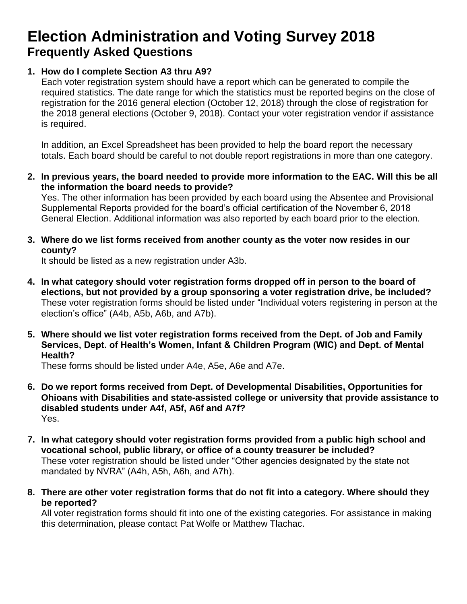## **Election Administration and Voting Survey 2018 Frequently Asked Questions**

### **1. How do I complete Section A3 thru A9?**

Each voter registration system should have a report which can be generated to compile the required statistics. The date range for which the statistics must be reported begins on the close of registration for the 2016 general election (October 12, 2018) through the close of registration for the 2018 general elections (October 9, 2018). Contact your voter registration vendor if assistance is required.

In addition, an Excel Spreadsheet has been provided to help the board report the necessary totals. Each board should be careful to not double report registrations in more than one category.

**2. In previous years, the board needed to provide more information to the EAC. Will this be all the information the board needs to provide?**

Yes. The other information has been provided by each board using the Absentee and Provisional Supplemental Reports provided for the board's official certification of the November 6, 2018 General Election. Additional information was also reported by each board prior to the election.

**3. Where do we list forms received from another county as the voter now resides in our county?**

It should be listed as a new registration under A3b.

- **4. In what category should voter registration forms dropped off in person to the board of elections, but not provided by a group sponsoring a voter registration drive, be included?** These voter registration forms should be listed under "Individual voters registering in person at the election's office" (A4b, A5b, A6b, and A7b).
- **5. Where should we list voter registration forms received from the Dept. of Job and Family Services, Dept. of Health's Women, Infant & Children Program (WIC) and Dept. of Mental Health?**

These forms should be listed under A4e, A5e, A6e and A7e.

- **6. Do we report forms received from Dept. of Developmental Disabilities, Opportunities for Ohioans with Disabilities and state-assisted college or university that provide assistance to disabled students under A4f, A5f, A6f and A7f?**  Yes.
- **7. In what category should voter registration forms provided from a public high school and vocational school, public library, or office of a county treasurer be included?** These voter registration should be listed under "Other agencies designated by the state not mandated by NVRA" (A4h, A5h, A6h, and A7h).
- **8. There are other voter registration forms that do not fit into a category. Where should they be reported?**

All voter registration forms should fit into one of the existing categories. For assistance in making this determination, please contact Pat Wolfe or Matthew Tlachac.